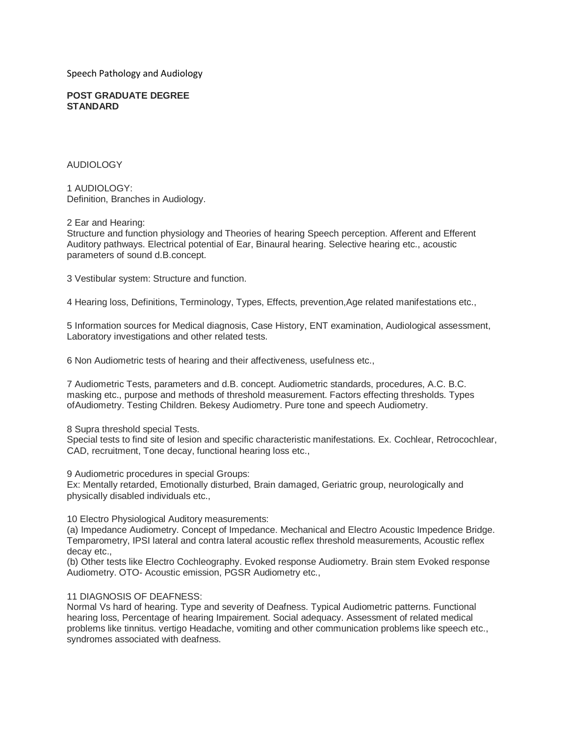Speech Pathology and Audiology

#### **POST GRADUATE DEGREE STANDARD**

### AUDIOLOGY

1 AUDIOLOGY: Definition, Branches in Audiology.

2 Ear and Hearing:

Structure and function physiology and Theories of hearing Speech perception. Afferent and Efferent Auditory pathways. Electrical potential of Ear, Binaural hearing. Selective hearing etc., acoustic parameters of sound d.B.concept.

3 Vestibular system: Structure and function.

4 Hearing loss, Definitions, Terminology, Types, Effects, prevention,Age related manifestations etc.,

5 Information sources for Medical diagnosis, Case History, ENT examination, Audiological assessment, Laboratory investigations and other related tests.

6 Non Audiometric tests of hearing and their affectiveness, usefulness etc.,

7 Audiometric Tests, parameters and d.B. concept. Audiometric standards, procedures, A.C. B.C. masking etc., purpose and methods of threshold measurement. Factors effecting thresholds. Types ofAudiometry. Testing Children. Bekesy Audiometry. Pure tone and speech Audiometry.

### 8 Supra threshold special Tests.

Special tests to find site of lesion and specific characteristic manifestations. Ex. Cochlear, Retrocochlear, CAD, recruitment, Tone decay, functional hearing loss etc.,

9 Audiometric procedures in special Groups:

Ex: Mentally retarded, Emotionally disturbed, Brain damaged, Geriatric group, neurologically and physically disabled individuals etc.,

10 Electro Physiological Auditory measurements:

(a) Impedance Audiometry. Concept of Impedance. Mechanical and Electro Acoustic Impedence Bridge. Temparometry, IPSI lateral and contra lateral acoustic reflex threshold measurements, Acoustic reflex decay etc.,

(b) Other tests like Electro Cochleography. Evoked response Audiometry. Brain stem Evoked response Audiometry. OTO- Acoustic emission, PGSR Audiometry etc.,

## 11 DIAGNOSIS OF DEAFNESS:

Normal Vs hard of hearing. Type and severity of Deafness. Typical Audiometric patterns. Functional hearing loss, Percentage of hearing Impairement. Social adequacy. Assessment of related medical problems like tinnitus. vertigo Headache, vomiting and other communication problems like speech etc., syndromes associated with deafness.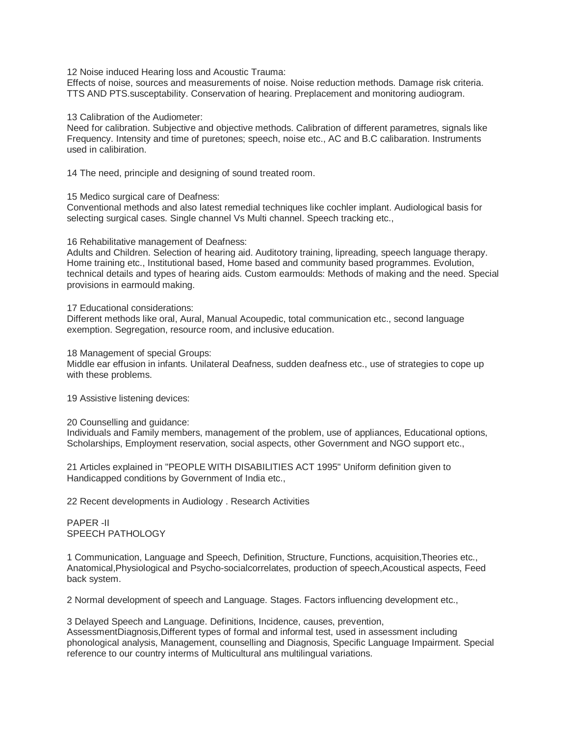12 Noise induced Hearing loss and Acoustic Trauma:

Effects of noise, sources and measurements of noise. Noise reduction methods. Damage risk criteria. TTS AND PTS.susceptability. Conservation of hearing. Preplacement and monitoring audiogram.

13 Calibration of the Audiometer:

Need for calibration. Subjective and objective methods. Calibration of different parametres, signals like Frequency. Intensity and time of puretones; speech, noise etc., AC and B.C calibaration. Instruments used in calibiration.

14 The need, principle and designing of sound treated room.

### 15 Medico surgical care of Deafness:

Conventional methods and also latest remedial techniques like cochler implant. Audiological basis for selecting surgical cases. Single channel Vs Multi channel. Speech tracking etc.,

### 16 Rehabilitative management of Deafness:

Adults and Children. Selection of hearing aid. Auditotory training, lipreading, speech language therapy. Home training etc., Institutional based, Home based and community based programmes. Evolution, technical details and types of hearing aids. Custom earmoulds: Methods of making and the need. Special provisions in earmould making.

### 17 Educational considerations:

Different methods like oral, Aural, Manual Acoupedic, total communication etc., second language exemption. Segregation, resource room, and inclusive education.

18 Management of special Groups:

Middle ear effusion in infants. Unilateral Deafness, sudden deafness etc., use of strategies to cope up with these problems.

19 Assistive listening devices:

#### 20 Counselling and guidance:

Individuals and Family members, management of the problem, use of appliances, Educational options, Scholarships, Employment reservation, social aspects, other Government and NGO support etc.,

21 Articles explained in "PEOPLE WITH DISABILITIES ACT 1995" Uniform definition given to Handicapped conditions by Government of India etc.,

22 Recent developments in Audiology . Research Activities

# PAPER -II SPEECH PATHOLOGY

1 Communication, Language and Speech, Definition, Structure, Functions, acquisition,Theories etc., Anatomical,Physiological and Psycho-socialcorrelates, production of speech,Acoustical aspects, Feed back system.

2 Normal development of speech and Language. Stages. Factors influencing development etc.,

3 Delayed Speech and Language. Definitions, Incidence, causes, prevention, AssessmentDiagnosis,Different types of formal and informal test, used in assessment including phonological analysis, Management, counselling and Diagnosis, Specific Language Impairment. Special reference to our country interms of Multicultural ans multilingual variations.